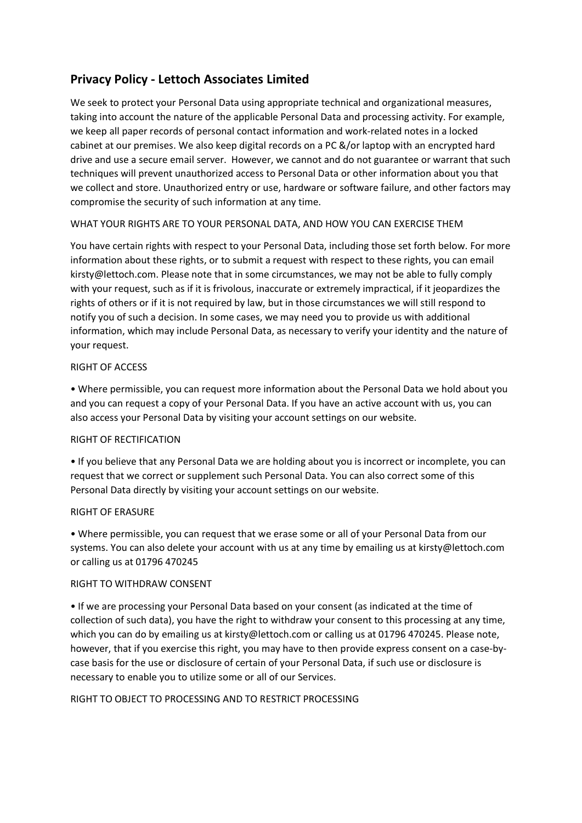# **Privacy Policy - Lettoch Associates Limited**

We seek to protect your Personal Data using appropriate technical and organizational measures, taking into account the nature of the applicable Personal Data and processing activity. For example, we keep all paper records of personal contact information and work-related notes in a locked cabinet at our premises. We also keep digital records on a PC &/or laptop with an encrypted hard drive and use a secure email server. However, we cannot and do not guarantee or warrant that such techniques will prevent unauthorized access to Personal Data or other information about you that we collect and store. Unauthorized entry or use, hardware or software failure, and other factors may compromise the security of such information at any time.

## WHAT YOUR RIGHTS ARE TO YOUR PERSONAL DATA, AND HOW YOU CAN EXERCISE THEM

You have certain rights with respect to your Personal Data, including those set forth below. For more information about these rights, or to submit a request with respect to these rights, you can email kirsty@lettoch.com. Please note that in some circumstances, we may not be able to fully comply with your request, such as if it is frivolous, inaccurate or extremely impractical, if it jeopardizes the rights of others or if it is not required by law, but in those circumstances we will still respond to notify you of such a decision. In some cases, we may need you to provide us with additional information, which may include Personal Data, as necessary to verify your identity and the nature of your request.

## RIGHT OF ACCESS

• Where permissible, you can request more information about the Personal Data we hold about you and you can request a copy of your Personal Data. If you have an active account with us, you can also access your Personal Data by visiting your account settings on our website.

## RIGHT OF RECTIFICATION

• If you believe that any Personal Data we are holding about you is incorrect or incomplete, you can request that we correct or supplement such Personal Data. You can also correct some of this Personal Data directly by visiting your account settings on our website.

#### RIGHT OF ERASURE

• Where permissible, you can request that we erase some or all of your Personal Data from our systems. You can also delete your account with us at any time by emailing us at kirsty@lettoch.com or calling us at 01796 470245

#### RIGHT TO WITHDRAW CONSENT

• If we are processing your Personal Data based on your consent (as indicated at the time of collection of such data), you have the right to withdraw your consent to this processing at any time, which you can do by emailing us at kirsty@lettoch.com or calling us at 01796 470245. Please note, however, that if you exercise this right, you may have to then provide express consent on a case-bycase basis for the use or disclosure of certain of your Personal Data, if such use or disclosure is necessary to enable you to utilize some or all of our Services.

#### RIGHT TO OBJECT TO PROCESSING AND TO RESTRICT PROCESSING